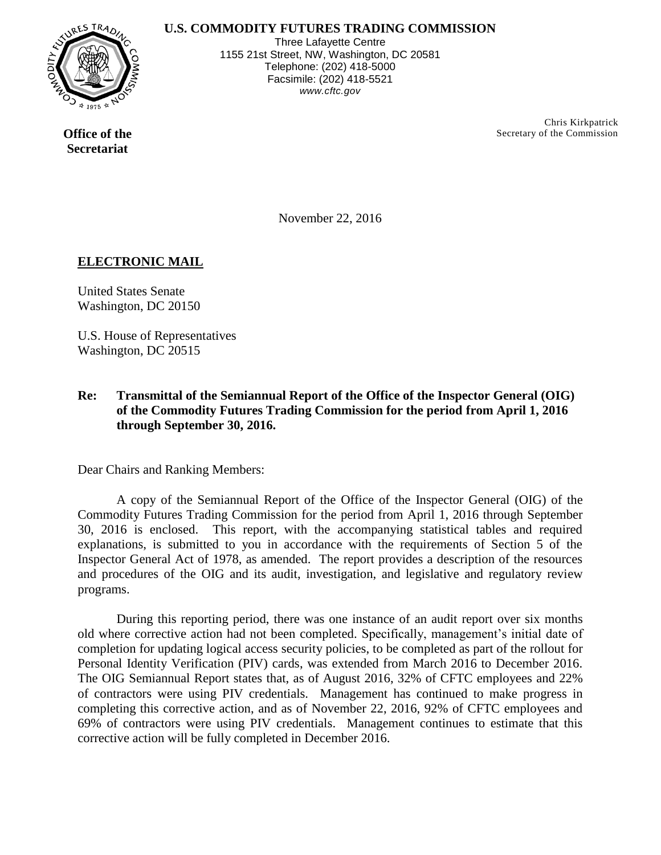## **U.S. COMMODITY FUTURES TRADING COMMISSION**



Three Lafayette Centre 1155 21st Street, NW, Washington, DC 20581 Telephone: (202) 418-5000 Facsimile: (202) 418-5521 *www.cftc.gov*

> Chris Kirkpatrick Secretary of the Commission

**Office of the Secretariat** 

November 22, 2016

## **ELECTRONIC MAIL**

United States Senate Washington, DC 20150

U.S. House of Representatives Washington, DC 20515

## **Re: Transmittal of the Semiannual Report of the Office of the Inspector General (OIG) of the Commodity Futures Trading Commission for the period from April 1, 2016 through September 30, 2016.**

Dear Chairs and Ranking Members:

A copy of the Semiannual Report of the Office of the Inspector General (OIG) of the Commodity Futures Trading Commission for the period from April 1, 2016 through September 30, 2016 is enclosed. This report, with the accompanying statistical tables and required explanations, is submitted to you in accordance with the requirements of Section 5 of the Inspector General Act of 1978, as amended. The report provides a description of the resources and procedures of the OIG and its audit, investigation, and legislative and regulatory review programs.

During this reporting period, there was one instance of an audit report over six months old where corrective action had not been completed. Specifically, management's initial date of completion for updating logical access security policies, to be completed as part of the rollout for Personal Identity Verification (PIV) cards, was extended from March 2016 to December 2016. The OIG Semiannual Report states that, as of August 2016, 32% of CFTC employees and 22% of contractors were using PIV credentials. Management has continued to make progress in completing this corrective action, and as of November 22, 2016, 92% of CFTC employees and 69% of contractors were using PIV credentials. Management continues to estimate that this corrective action will be fully completed in December 2016.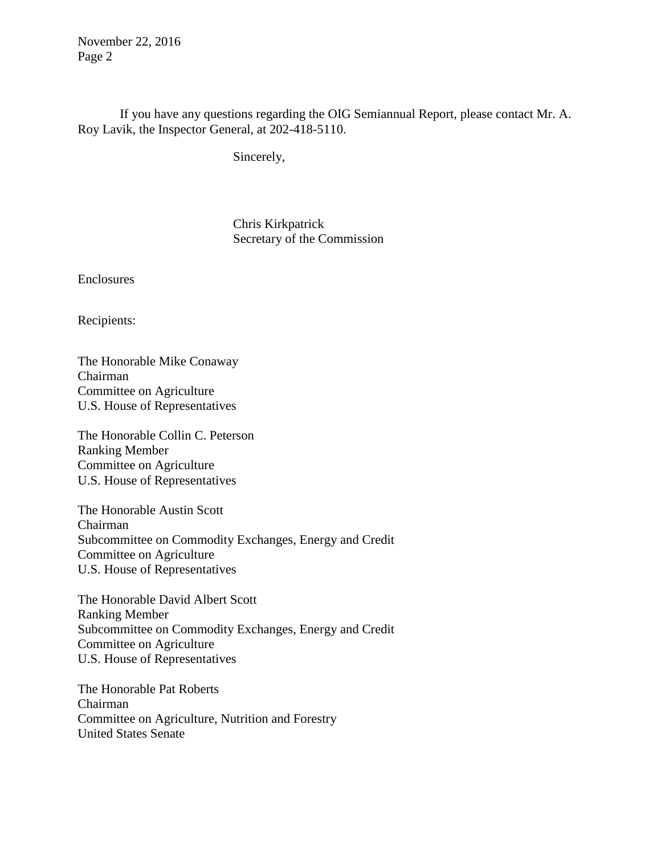November 22, 2016 Page 2

 If you have any questions regarding the OIG Semiannual Report, please contact Mr. A. Roy Lavik, the Inspector General, at 202-418-5110.

Sincerely,

Chris Kirkpatrick Secretary of the Commission

Enclosures

Recipients:

The Honorable Mike Conaway Chairman Committee on Agriculture U.S. House of Representatives

The Honorable Collin C. Peterson Ranking Member Committee on Agriculture U.S. House of Representatives

The Honorable Austin Scott Chairman Subcommittee on Commodity Exchanges, Energy and Credit Committee on Agriculture U.S. House of Representatives

The Honorable David Albert Scott Ranking Member Subcommittee on Commodity Exchanges, Energy and Credit Committee on Agriculture U.S. House of Representatives

The Honorable Pat Roberts Chairman Committee on Agriculture, Nutrition and Forestry United States Senate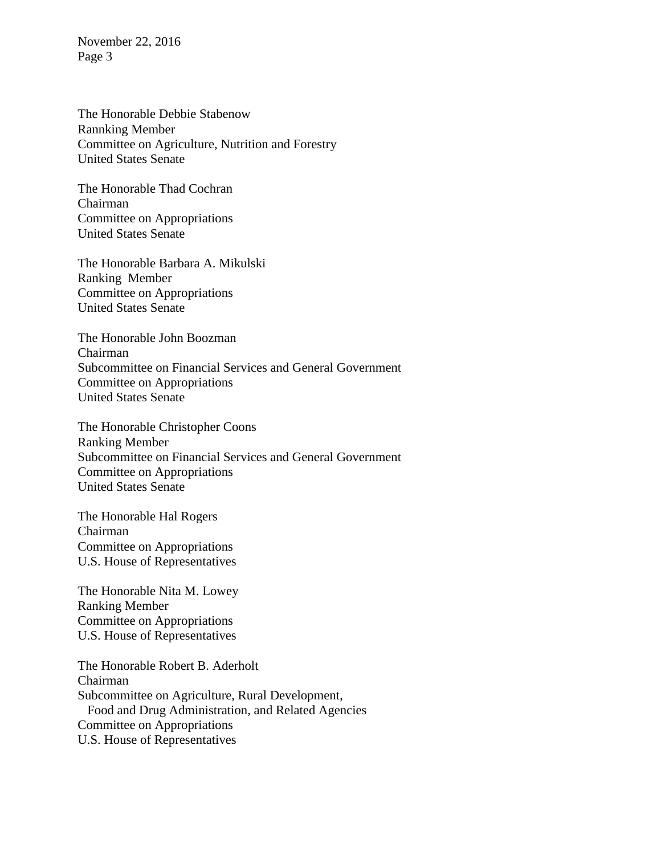November 22, 2016 Page 3

The Honorable Debbie Stabenow Rannking Member Committee on Agriculture, Nutrition and Forestry United States Senate

The Honorable Thad Cochran Chairman Committee on Appropriations United States Senate

The Honorable Barbara A. Mikulski Ranking Member Committee on Appropriations United States Senate

The Honorable John Boozman Chairman Subcommittee on Financial Services and General Government Committee on Appropriations United States Senate

The Honorable Christopher Coons Ranking Member Subcommittee on Financial Services and General Government Committee on Appropriations United States Senate

The Honorable Hal Rogers Chairman Committee on Appropriations U.S. House of Representatives

The Honorable Nita M. Lowey Ranking Member Committee on Appropriations U.S. House of Representatives

The Honorable Robert B. Aderholt Chairman Subcommittee on Agriculture, Rural Development, Food and Drug Administration, and Related Agencies Committee on Appropriations U.S. House of Representatives